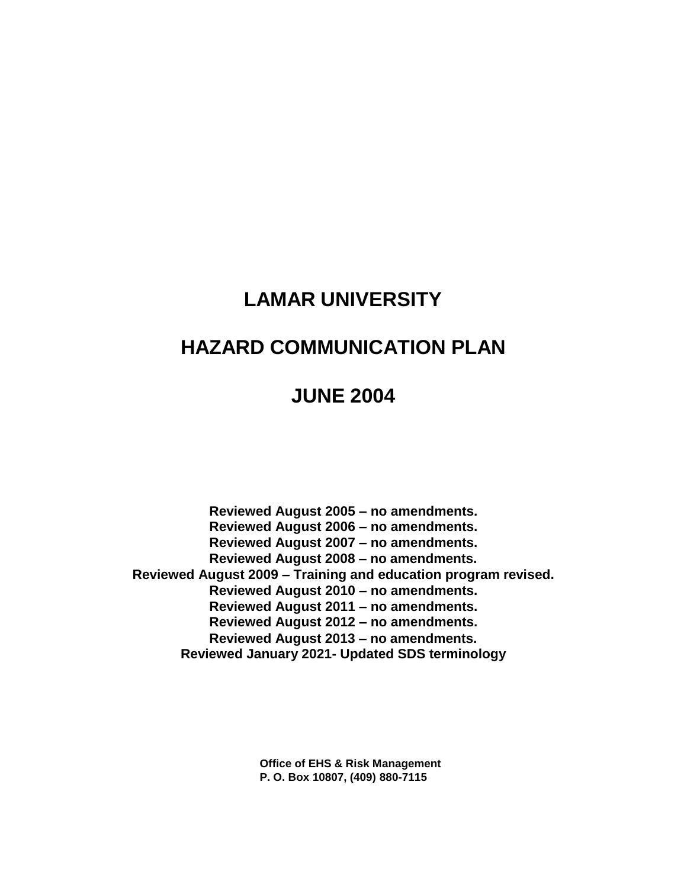# **LAMAR UNIVERSITY**

# **HAZARD COMMUNICATION PLAN**

# **JUNE 2004**

**Reviewed August 2005 – no amendments. Reviewed August 2006 – no amendments. Reviewed August 2007 – no amendments. Reviewed August 2008 – no amendments. Reviewed August 2009 – Training and education program revised. Reviewed August 2010 – no amendments. Reviewed August 2011 – no amendments. Reviewed August 2012 – no amendments. Reviewed August 2013 – no amendments. Reviewed January 2021- Updated SDS terminology**

> **Office of EHS & Risk Management P. O. Box 10807, (409) 880-7115**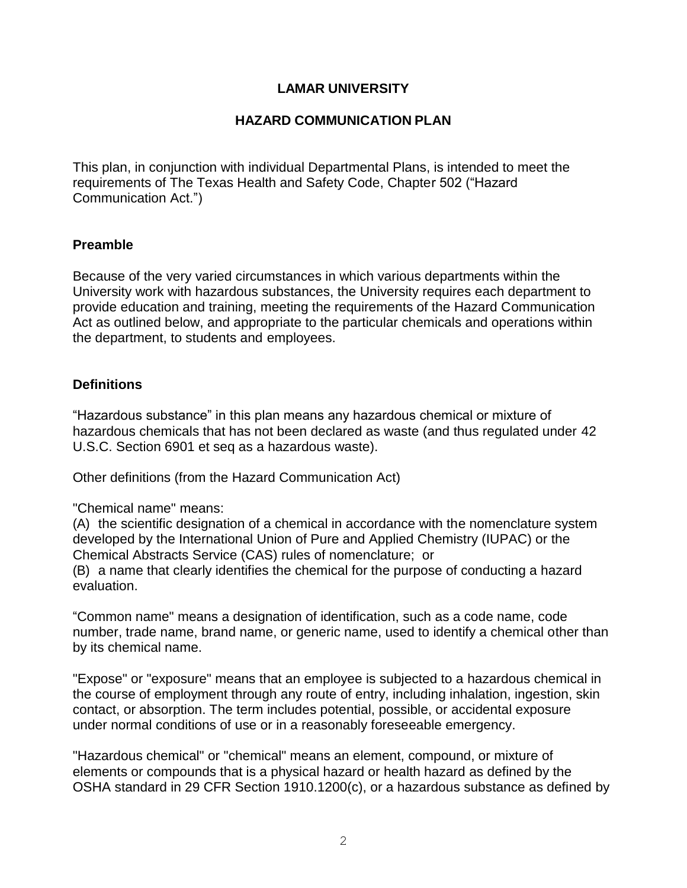## **LAMAR UNIVERSITY**

## **HAZARD COMMUNICATION PLAN**

This plan, in conjunction with individual Departmental Plans, is intended to meet the requirements of The Texas Health and Safety Code, Chapter 502 ("Hazard Communication Act.")

#### **Preamble**

Because of the very varied circumstances in which various departments within the University work with hazardous substances, the University requires each department to provide education and training, meeting the requirements of the Hazard Communication Act as outlined below, and appropriate to the particular chemicals and operations within the department, to students and employees.

## **Definitions**

"Hazardous substance" in this plan means any hazardous chemical or mixture of hazardous chemicals that has not been declared as waste (and thus regulated under 42 U.S.C. Section 6901 et seq as a hazardous waste).

Other definitions (from the Hazard Communication Act)

"Chemical name" means:

(A) the scientific designation of a chemical in accordance with the nomenclature system developed by the International Union of Pure and Applied Chemistry (IUPAC) or the Chemical Abstracts Service (CAS) rules of nomenclature; or

(B) a name that clearly identifies the chemical for the purpose of conducting a hazard evaluation.

"Common name" means a designation of identification, such as a code name, code number, trade name, brand name, or generic name, used to identify a chemical other than by its chemical name.

"Expose" or "exposure" means that an employee is subjected to a hazardous chemical in the course of employment through any route of entry, including inhalation, ingestion, skin contact, or absorption. The term includes potential, possible, or accidental exposure under normal conditions of use or in a reasonably foreseeable emergency.

"Hazardous chemical" or "chemical" means an element, compound, or mixture of elements or compounds that is a physical hazard or health hazard as defined by the OSHA standard in 29 CFR Section 1910.1200(c), or a hazardous substance as defined by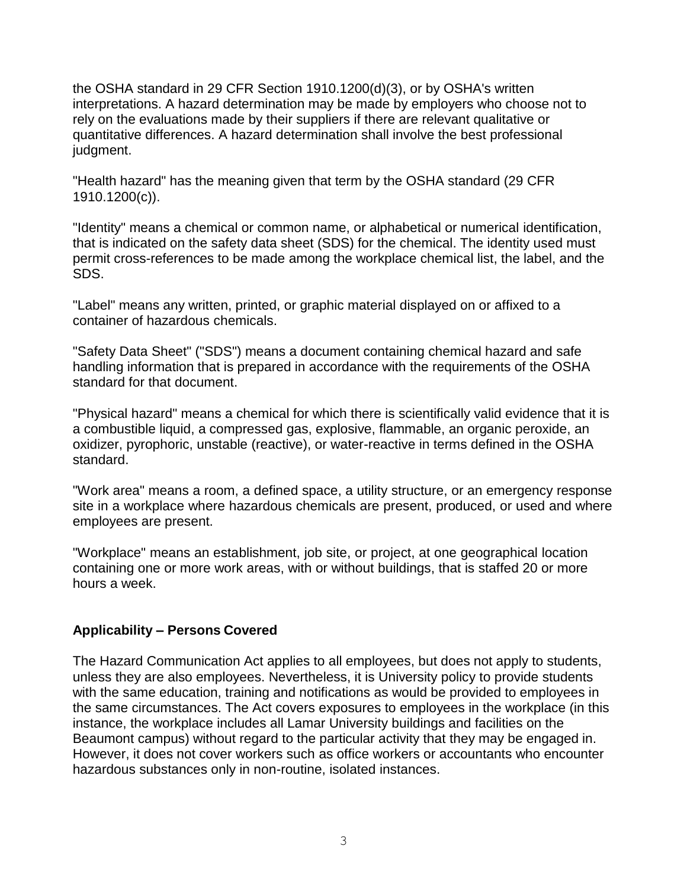the OSHA standard in 29 CFR Section 1910.1200(d)(3), or by OSHA's written interpretations. A hazard determination may be made by employers who choose not to rely on the evaluations made by their suppliers if there are relevant qualitative or quantitative differences. A hazard determination shall involve the best professional judgment.

"Health hazard" has the meaning given that term by the OSHA standard (29 CFR 1910.1200(c)).

"Identity" means a chemical or common name, or alphabetical or numerical identification, that is indicated on the safety data sheet (SDS) for the chemical. The identity used must permit cross-references to be made among the workplace chemical list, the label, and the SDS.

"Label" means any written, printed, or graphic material displayed on or affixed to a container of hazardous chemicals.

"Safety Data Sheet" ("SDS") means a document containing chemical hazard and safe handling information that is prepared in accordance with the requirements of the OSHA standard for that document.

"Physical hazard" means a chemical for which there is scientifically valid evidence that it is a combustible liquid, a compressed gas, explosive, flammable, an organic peroxide, an oxidizer, pyrophoric, unstable (reactive), or water-reactive in terms defined in the OSHA standard.

"Work area" means a room, a defined space, a utility structure, or an emergency response site in a workplace where hazardous chemicals are present, produced, or used and where employees are present.

"Workplace" means an establishment, job site, or project, at one geographical location containing one or more work areas, with or without buildings, that is staffed 20 or more hours a week.

#### **Applicability – Persons Covered**

The Hazard Communication Act applies to all employees, but does not apply to students, unless they are also employees. Nevertheless, it is University policy to provide students with the same education, training and notifications as would be provided to employees in the same circumstances. The Act covers exposures to employees in the workplace (in this instance, the workplace includes all Lamar University buildings and facilities on the Beaumont campus) without regard to the particular activity that they may be engaged in. However, it does not cover workers such as office workers or accountants who encounter hazardous substances only in non-routine, isolated instances.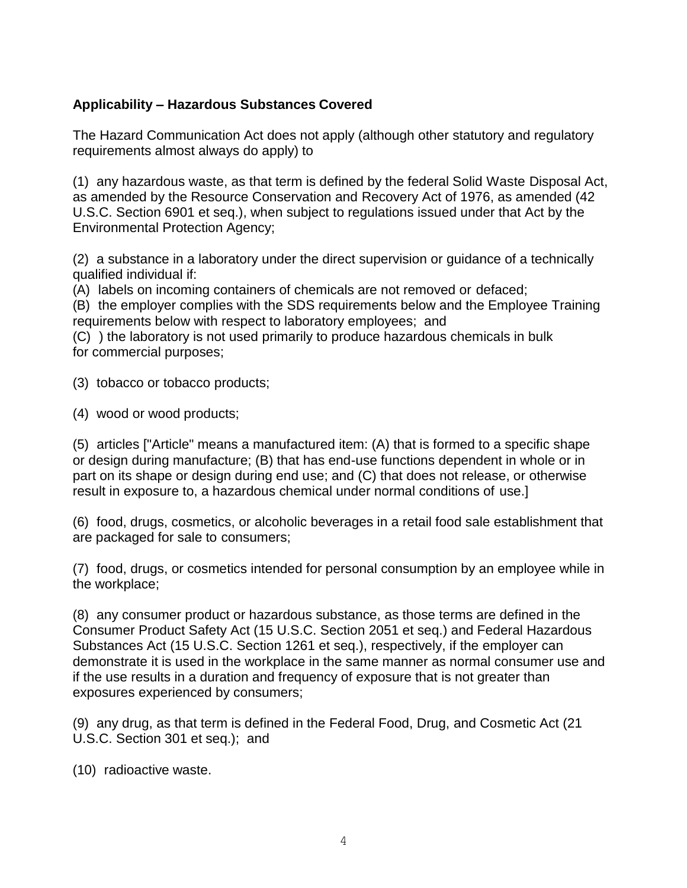# **Applicability – Hazardous Substances Covered**

The Hazard Communication Act does not apply (although other statutory and regulatory requirements almost always do apply) to

(1) any hazardous waste, as that term is defined by the federal Solid Waste Disposal Act, as amended by the Resource Conservation and Recovery Act of 1976, as amended (42 U.S.C. Section 6901 et seq.), when subject to regulations issued under that Act by the Environmental Protection Agency;

(2) a substance in a laboratory under the direct supervision or guidance of a technically qualified individual if:

(A) labels on incoming containers of chemicals are not removed or defaced;

(B) the employer complies with the SDS requirements below and the Employee Training requirements below with respect to laboratory employees; and

(C) ) the laboratory is not used primarily to produce hazardous chemicals in bulk for commercial purposes;

(3) tobacco or tobacco products;

(4) wood or wood products;

(5) articles ["Article" means a manufactured item: (A) that is formed to a specific shape or design during manufacture; (B) that has end-use functions dependent in whole or in part on its shape or design during end use; and (C) that does not release, or otherwise result in exposure to, a hazardous chemical under normal conditions of use.]

(6) food, drugs, cosmetics, or alcoholic beverages in a retail food sale establishment that are packaged for sale to consumers;

(7) food, drugs, or cosmetics intended for personal consumption by an employee while in the workplace;

(8) any consumer product or hazardous substance, as those terms are defined in the Consumer Product Safety Act (15 U.S.C. Section 2051 et seq.) and Federal Hazardous Substances Act (15 U.S.C. Section 1261 et seq.), respectively, if the employer can demonstrate it is used in the workplace in the same manner as normal consumer use and if the use results in a duration and frequency of exposure that is not greater than exposures experienced by consumers;

(9) any drug, as that term is defined in the Federal Food, Drug, and Cosmetic Act (21 U.S.C. Section 301 et seq.); and

(10) radioactive waste.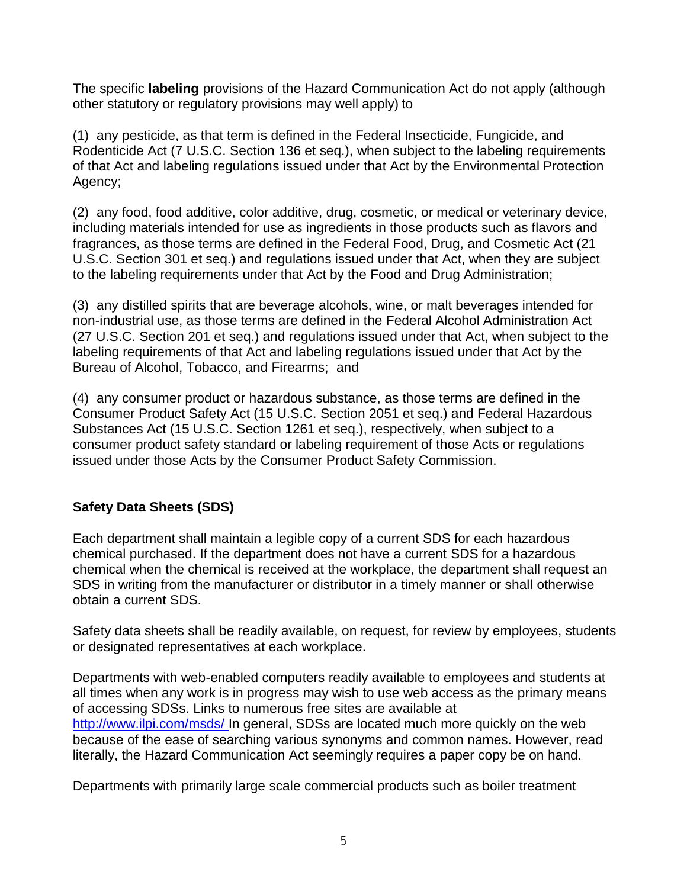The specific **labeling** provisions of the Hazard Communication Act do not apply (although other statutory or regulatory provisions may well apply) to

(1) any pesticide, as that term is defined in the Federal Insecticide, Fungicide, and Rodenticide Act (7 U.S.C. Section 136 et seq.), when subject to the labeling requirements of that Act and labeling regulations issued under that Act by the Environmental Protection Agency;

(2) any food, food additive, color additive, drug, cosmetic, or medical or veterinary device, including materials intended for use as ingredients in those products such as flavors and fragrances, as those terms are defined in the Federal Food, Drug, and Cosmetic Act (21 U.S.C. Section 301 et seq.) and regulations issued under that Act, when they are subject to the labeling requirements under that Act by the Food and Drug Administration;

(3) any distilled spirits that are beverage alcohols, wine, or malt beverages intended for non-industrial use, as those terms are defined in the Federal Alcohol Administration Act (27 U.S.C. Section 201 et seq.) and regulations issued under that Act, when subject to the labeling requirements of that Act and labeling regulations issued under that Act by the Bureau of Alcohol, Tobacco, and Firearms; and

(4) any consumer product or hazardous substance, as those terms are defined in the Consumer Product Safety Act (15 U.S.C. Section 2051 et seq.) and Federal Hazardous Substances Act (15 U.S.C. Section 1261 et seq.), respectively, when subject to a consumer product safety standard or labeling requirement of those Acts or regulations issued under those Acts by the Consumer Product Safety Commission.

# **Safety Data Sheets (SDS)**

Each department shall maintain a legible copy of a current SDS for each hazardous chemical purchased. If the department does not have a current SDS for a hazardous chemical when the chemical is received at the workplace, the department shall request an SDS in writing from the manufacturer or distributor in a timely manner or shall otherwise obtain a current SDS.

Safety data sheets shall be readily available, on request, for review by employees, students or designated representatives at each workplace.

Departments with web-enabled computers readily available to employees and students at all times when any work is in progress may wish to use web access as the primary means of accessing SDSs. Links to numerous free sites are available at [http://www.ilpi.com/msds/ I](http://www.ilpi.com/msds/)n general, SDSs are located much more quickly on the web because of the ease of searching various synonyms and common names. However, read literally, the Hazard Communication Act seemingly requires a paper copy be on hand.

Departments with primarily large scale commercial products such as boiler treatment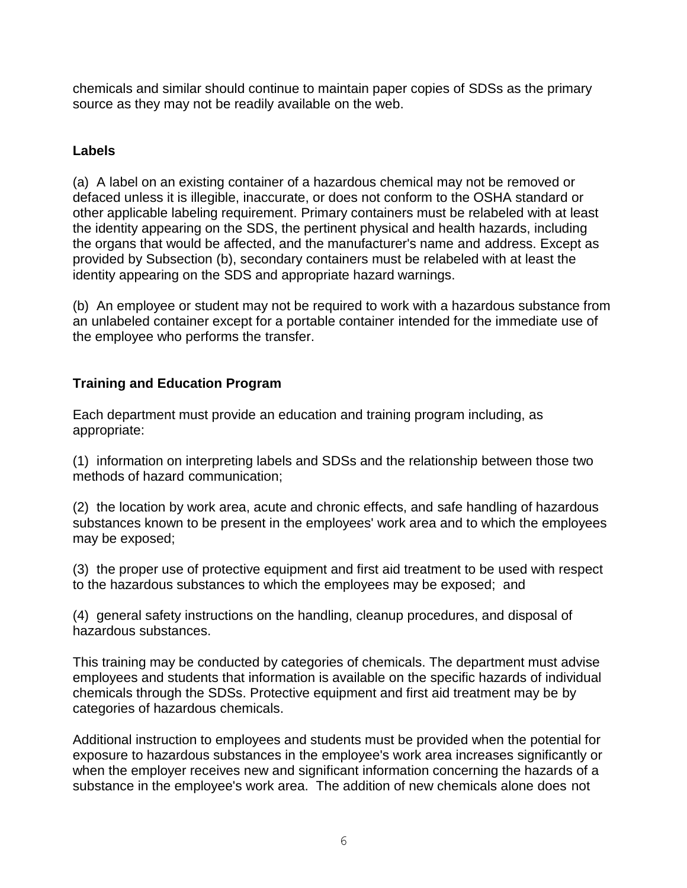chemicals and similar should continue to maintain paper copies of SDSs as the primary source as they may not be readily available on the web.

# **Labels**

(a) A label on an existing container of a hazardous chemical may not be removed or defaced unless it is illegible, inaccurate, or does not conform to the OSHA standard or other applicable labeling requirement. Primary containers must be relabeled with at least the identity appearing on the SDS, the pertinent physical and health hazards, including the organs that would be affected, and the manufacturer's name and address. Except as provided by Subsection (b), secondary containers must be relabeled with at least the identity appearing on the SDS and appropriate hazard warnings.

(b) An employee or student may not be required to work with a hazardous substance from an unlabeled container except for a portable container intended for the immediate use of the employee who performs the transfer.

# **Training and Education Program**

Each department must provide an education and training program including, as appropriate:

(1) information on interpreting labels and SDSs and the relationship between those two methods of hazard communication;

(2) the location by work area, acute and chronic effects, and safe handling of hazardous substances known to be present in the employees' work area and to which the employees may be exposed;

(3) the proper use of protective equipment and first aid treatment to be used with respect to the hazardous substances to which the employees may be exposed; and

(4) general safety instructions on the handling, cleanup procedures, and disposal of hazardous substances.

This training may be conducted by categories of chemicals. The department must advise employees and students that information is available on the specific hazards of individual chemicals through the SDSs. Protective equipment and first aid treatment may be by categories of hazardous chemicals.

Additional instruction to employees and students must be provided when the potential for exposure to hazardous substances in the employee's work area increases significantly or when the employer receives new and significant information concerning the hazards of a substance in the employee's work area. The addition of new chemicals alone does not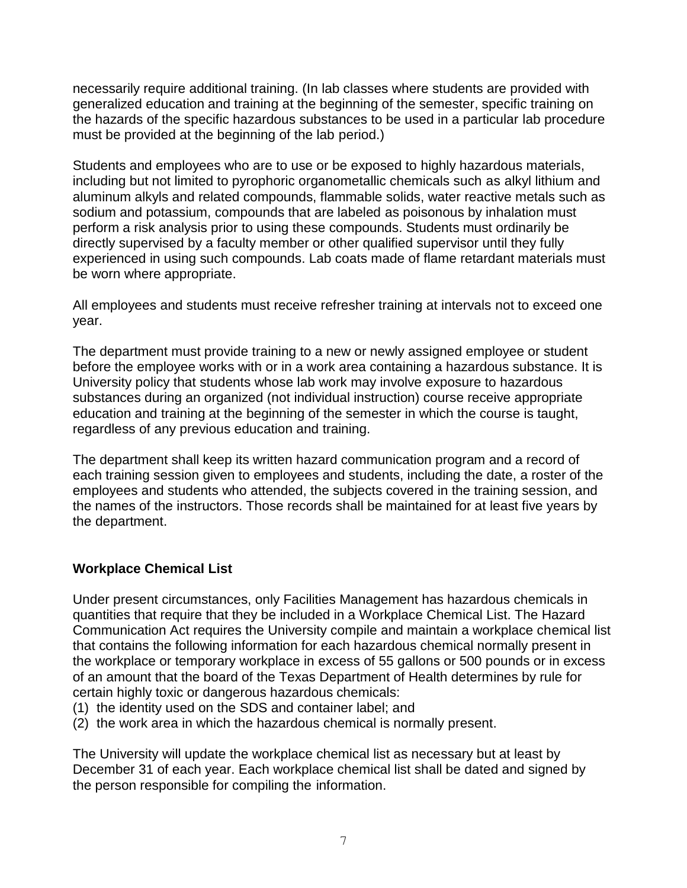necessarily require additional training. (In lab classes where students are provided with generalized education and training at the beginning of the semester, specific training on the hazards of the specific hazardous substances to be used in a particular lab procedure must be provided at the beginning of the lab period.)

Students and employees who are to use or be exposed to highly hazardous materials, including but not limited to pyrophoric organometallic chemicals such as alkyl lithium and aluminum alkyls and related compounds, flammable solids, water reactive metals such as sodium and potassium, compounds that are labeled as poisonous by inhalation must perform a risk analysis prior to using these compounds. Students must ordinarily be directly supervised by a faculty member or other qualified supervisor until they fully experienced in using such compounds. Lab coats made of flame retardant materials must be worn where appropriate.

All employees and students must receive refresher training at intervals not to exceed one year.

The department must provide training to a new or newly assigned employee or student before the employee works with or in a work area containing a hazardous substance. It is University policy that students whose lab work may involve exposure to hazardous substances during an organized (not individual instruction) course receive appropriate education and training at the beginning of the semester in which the course is taught, regardless of any previous education and training.

The department shall keep its written hazard communication program and a record of each training session given to employees and students, including the date, a roster of the employees and students who attended, the subjects covered in the training session, and the names of the instructors. Those records shall be maintained for at least five years by the department.

## **Workplace Chemical List**

Under present circumstances, only Facilities Management has hazardous chemicals in quantities that require that they be included in a Workplace Chemical List. The Hazard Communication Act requires the University compile and maintain a workplace chemical list that contains the following information for each hazardous chemical normally present in the workplace or temporary workplace in excess of 55 gallons or 500 pounds or in excess of an amount that the board of the Texas Department of Health determines by rule for certain highly toxic or dangerous hazardous chemicals:

- (1) the identity used on the SDS and container label; and
- (2) the work area in which the hazardous chemical is normally present.

The University will update the workplace chemical list as necessary but at least by December 31 of each year. Each workplace chemical list shall be dated and signed by the person responsible for compiling the information.